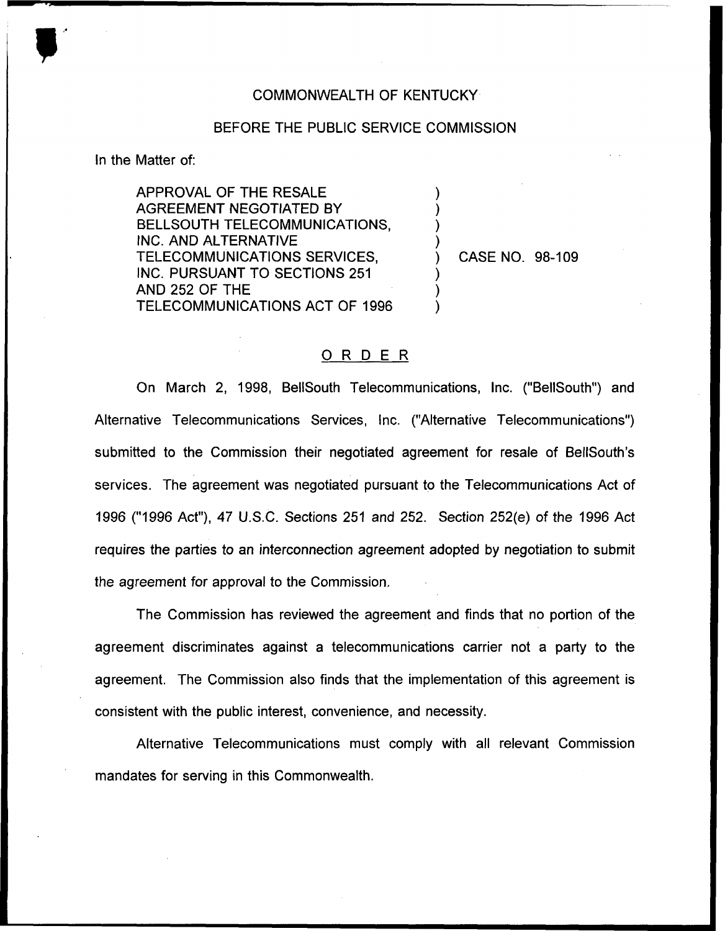## COMMONWEALTH OF KENTUCKY

## BEFORE THE PUBLIC SERVICE COMMISSION

) ) ) )

) ) )

In the Matter of:

APPROVAL OF THE RESALE AGREEMENT NEGOTIATED BY BELLSOUTH TELECOMMUNICATIONS, INC. AND ALTERNATIVE TELECOMMUNICATIONS SERVICES, INC. PURSUANT TO SECTIONS 251 AND 252 OF THE TELECOMMUNICATIONS ACT OF 1996

) CASE NO. 98-109

## 0 <sup>R</sup> <sup>D</sup> <sup>E</sup> <sup>R</sup>

On March 2, 1998, BelISouth Telecommunications, Inc. ("BellSouth") and Alternative Telecommunications Services, Inc. ("Alternative Telecommunications") submitted to the Commission their negotiated agreement for resale of BelISouth's services. The agreement was negotiated pursuant to the Telecommunications Act of 1996 ("1996Act"), 47 U.S.C. Sections 251 and 252. Section 252(e) of the 1996 Act requires the parties to an interconnection agreement adopted by negotiation to submit the agreement for approval to the Commission.

The Commission has reviewed the agreement and finds that no portion of the agreement discriminates against a telecommunications carrier not a party to the agreement. The Commission also finds that the implementation of this agreement is consistent with the public interest, convenience, and necessity.

Alternative Telecommunications must comply with all relevant Commission mandates for serving in this Commonwealth.